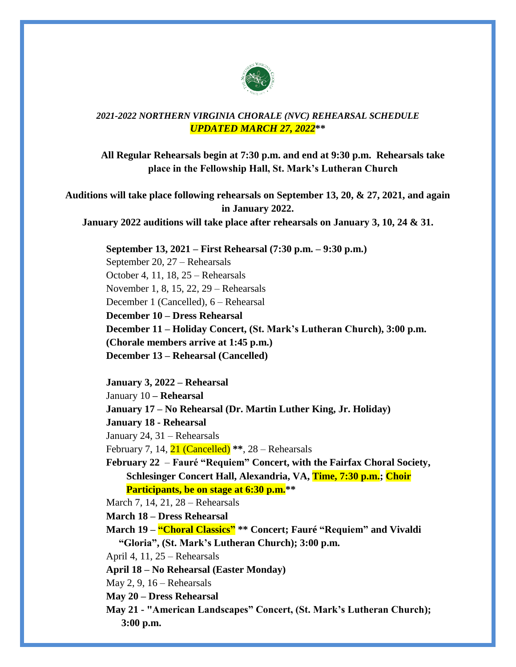

## *2021-2022 NORTHERN VIRGINIA CHORALE (NVC) REHEARSAL SCHEDULE UPDATED MARCH 27, 2022***\*\***

**All Regular Rehearsals begin at 7:30 p.m. and end at 9:30 p.m. Rehearsals take place in the Fellowship Hall, St. Mark's Lutheran Church**

**Auditions will take place following rehearsals on September 13, 20, & 27, 2021, and again in January 2022.** 

**January 2022 auditions will take place after rehearsals on January 3, 10, 24 & 31.**

**September 13, 2021 – First Rehearsal (7:30 p.m. – 9:30 p.m.)**

September 20, 27 – Rehearsals October 4, 11, 18, 25 – Rehearsals November 1, 8, 15, 22, 29 – Rehearsals December 1 (Cancelled), 6 – Rehearsal **December 10 – Dress Rehearsal December 11 – Holiday Concert, (St. Mark's Lutheran Church), 3:00 p.m. (Chorale members arrive at 1:45 p.m.) December 13 – Rehearsal (Cancelled)**

**January 3, 2022 – Rehearsal**

January 10 **– Rehearsal** 

**January 17 – No Rehearsal (Dr. Martin Luther King, Jr. Holiday)**

**January 18 - Rehearsal**

January 24, 31 – Rehearsals

February 7, 14, 21 (Cancelled) **\*\***, 28 – Rehearsals

**February 22** – **Fauré "Requiem" Concert, with the Fairfax Choral Society, Schlesinger Concert Hall, Alexandria, VA, Time, 7:30 p.m.; Choir Participants, be on stage at 6:30 p.m.\*\***

March 7, 14, 21, 28 – Rehearsals

**March 18 – Dress Rehearsal**

**March 19 – "Choral Classics" \*\* Concert; Fauré "Requiem" and Vivaldi "Gloria", (St. Mark's Lutheran Church); 3:00 p.m.**

April 4, 11, 25 – Rehearsals

**April 18 – No Rehearsal (Easter Monday)**

May 2, 9, 16 – Rehearsals

**May 20 – Dress Rehearsal**

**May 21 - "American Landscapes" Concert, (St. Mark's Lutheran Church); 3:00 p.m.**